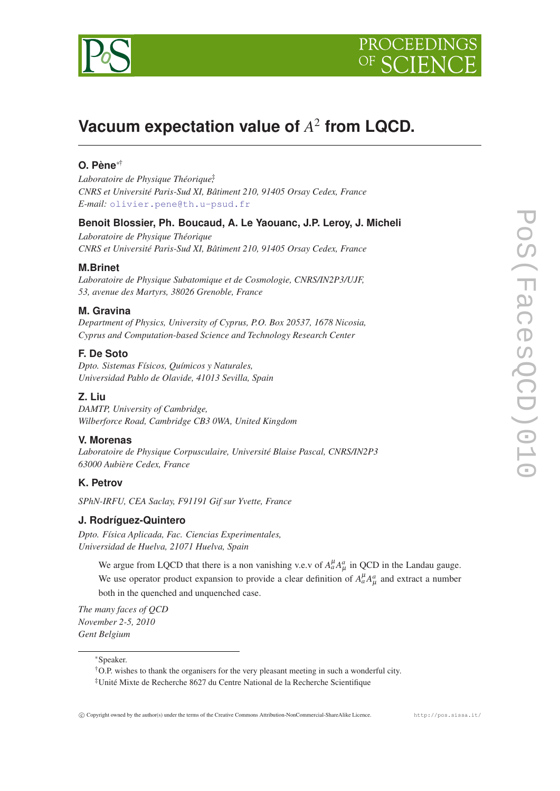



# **Vacuum expectation value of** *A* 2 **from LQCD.**

# **O. Pène**∗†

*Laboratoire de Physique Théorique*‡ *, CNRS et Université Paris-Sud XI, Bâtiment 210, 91405 Orsay Cedex, France E-mail:* [olivier.pene@th.u-psud.fr](mailto:olivier.pene@th.u-psud.fr)

# **Benoit Blossier, Ph. Boucaud, A. Le Yaouanc, J.P. Leroy, J. Micheli**

*Laboratoire de Physique Théorique CNRS et Université Paris-Sud XI, Bâtiment 210, 91405 Orsay Cedex, France*

# **M.Brinet**

*Laboratoire de Physique Subatomique et de Cosmologie, CNRS/IN2P3/UJF, 53, avenue des Martyrs, 38026 Grenoble, France*

# **M. Gravina**

*Department of Physics, University of Cyprus, P.O. Box 20537, 1678 Nicosia, Cyprus and Computation-based Science and Technology Research Center*

# **F. De Soto**

*Dpto. Sistemas Físicos, Químicos y Naturales, Universidad Pablo de Olavide, 41013 Sevilla, Spain*

# **Z. Liu**

*DAMTP, University of Cambridge, Wilberforce Road, Cambridge CB3 0WA, United Kingdom*

# **V. Morenas**

*Laboratoire de Physique Corpusculaire, Université Blaise Pascal, CNRS/IN2P3 63000 Aubière Cedex, France*

# **K. Petrov**

*SPhN-IRFU, CEA Saclay, F91191 Gif sur Yvette, France*

### **J. Rodríguez-Quintero**

*Dpto. Física Aplicada, Fac. Ciencias Experimentales, Universidad de Huelva, 21071 Huelva, Spain*

We argue from LQCD that there is a non vanishing v.e.v of  $A^{\mu}_a A^a_{\mu}$  in QCD in the Landau gauge. We use operator product expansion to provide a clear definition of  $A^{\mu}_a A^a_{\mu}$  and extract a number both in the quenched and unquenched case.

*The many faces of QCD November 2-5, 2010 Gent Belgium*

<sup>∗</sup>Speaker.

<sup>†</sup>O.P. wishes to thank the organisers for the very pleasant meeting in such a wonderful city. ‡Unité Mixte de Recherche 8627 du Centre National de la Recherche Scientifique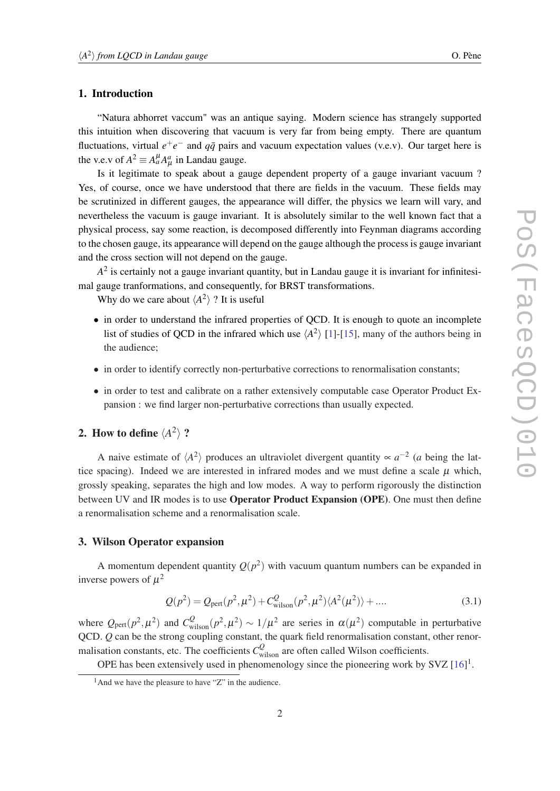## <span id="page-1-0"></span>1. Introduction

"Natura abhorret vaccum" was an antique saying. Modern science has strangely supported this intuition when discovering that vacuum is very far from being empty. There are quantum fluctuations, virtual  $e^+e^-$  and  $q\bar{q}$  pairs and vacuum expectation values (v.e.v). Our target here is the v.e.v of  $A^2 \equiv A^{\mu}_a A^a_{\mu}$  in Landau gauge.

Is it legitimate to speak about a gauge dependent property of a gauge invariant vacuum ? Yes, of course, once we have understood that there are fields in the vacuum. These fields may be scrutinized in different gauges, the appearance will differ, the physics we learn will vary, and nevertheless the vacuum is gauge invariant. It is absolutely similar to the well known fact that a physical process, say some reaction, is decomposed differently into Feynman diagrams according to the chosen gauge, its appearance will depend on the gauge although the process is gauge invariant and the cross section will not depend on the gauge.

 $A<sup>2</sup>$  is certainly not a gauge invariant quantity, but in Landau gauge it is invariant for infinitesimal gauge tranformations, and consequently, for BRST transformations.

Why do we care about  $\langle A^2 \rangle$  ? It is useful

- in order to understand the infrared properties of QCD. It is enough to quote an incomplete list of studies of QCD in the infrared which use  $\langle A^2 \rangle$  [[1](#page-8-0)]-[\[15](#page-9-0)], many of the authors being in the audience;
- in order to identify correctly non-perturbative corrections to renormalisation constants;
- in order to test and calibrate on a rather extensively computable case Operator Product Expansion : we find larger non-perturbative corrections than usually expected.

# 2. How to define  $\langle A^2 \rangle$  ?

A naive estimate of  $\langle A^2 \rangle$  produces an ultraviolet divergent quantity  $\propto a^{-2}$  (*a* being the lattice spacing). Indeed we are interested in infrared modes and we must define a scale  $\mu$  which, grossly speaking, separates the high and low modes. A way to perform rigorously the distinction between UV and IR modes is to use Operator Product Expansion (OPE). One must then define a renormalisation scheme and a renormalisation scale.

# 3. Wilson Operator expansion

A momentum dependent quantity  $Q(p^2)$  with vacuum quantum numbers can be expanded in inverse powers of  $\mu^2$ 

$$
Q(p^2) = Q_{\text{pert}}(p^2, \mu^2) + C_{\text{wilson}}^Q(p^2, \mu^2) \langle A^2(\mu^2) \rangle + \dots
$$
 (3.1)

where  $Q_{\text{pert}}(p^2, \mu^2)$  and  $C_{\text{wilson}}^Q(p^2, \mu^2) \sim 1/\mu^2$  are series in  $\alpha(\mu^2)$  computable in perturbative QCD. *Q* can be the strong coupling constant, the quark field renormalisation constant, other renormalisation constants, etc. The coefficients  $C_{\text{wilson}}^Q$  are often called Wilson coefficients.

OPE has been extensively used in phenomenology since the pioneering work by  $SVZ$  [[16\]](#page-9-0)<sup>1</sup>.

 $<sup>1</sup>$ And we have the pleasure to have "Z" in the audience.</sup>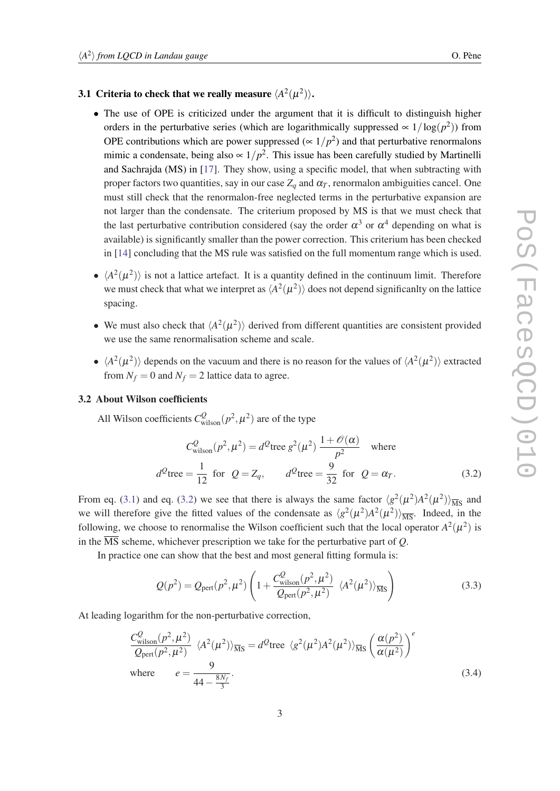# <span id="page-2-0"></span>3.1 Criteria to check that we really measure  $\langle A^2(\mu^2) \rangle$ .

- The use of OPE is criticized under the argument that it is difficult to distinguish higher orders in the perturbative series (which are logarithmically suppressed  $\propto 1/\log(p^2)$ ) from OPE contributions which are power suppressed ( $\propto 1/p^2$ ) and that perturbative renormalons mimic a condensate, being also  $\propto 1/p^2$ . This issue has been carefully studied by Martinelli and Sachrajda (MS) in [\[17](#page-9-0)]. They show, using a specific model, that when subtracting with proper factors two quantities, say in our case  $Z_q$  and  $\alpha_T$ , renormalon ambiguities cancel. One must still check that the renormalon-free neglected terms in the perturbative expansion are not larger than the condensate. The criterium proposed by MS is that we must check that the last perturbative contribution considered (say the order  $\alpha^3$  or  $\alpha^4$  depending on what is available) is significantly smaller than the power correction. This criterium has been checked in [\[14](#page-9-0)] concluding that the MS rule was satisfied on the full momentum range which is used.
- $\langle A^2(\mu^2) \rangle$  is not a lattice artefact. It is a quantity defined in the continuum limit. Therefore we must check that what we interpret as  $\langle A^2(\mu^2) \rangle$  does not depend significanlty on the lattice spacing.
- We must also check that  $\langle A^2(\mu^2) \rangle$  derived from different quantities are consistent provided we use the same renormalisation scheme and scale.
- $\langle A^2(\mu^2) \rangle$  depends on the vacuum and there is no reason for the values of  $\langle A^2(\mu^2) \rangle$  extracted from  $N_f = 0$  and  $N_f = 2$  lattice data to agree.

### 3.2 About Wilson coefficients

All Wilson coefficients  $C_{\text{wilson}}^Q(p^2, \mu^2)$  are of the type

$$
C_{\text{wilson}}^Q(p^2, \mu^2) = d^Q \text{tree } g^2(\mu^2) \frac{1 + \mathcal{O}(\alpha)}{p^2} \quad \text{where}
$$
  

$$
d^Q \text{tree} = \frac{1}{12} \text{ for } Q = Z_q, \qquad d^Q \text{tree} = \frac{9}{32} \text{ for } Q = \alpha_T. \tag{3.2}
$$

From eq. [\(3.1\)](#page-1-0) and eq. (3.2) we see that there is always the same factor  $\langle g^2(\mu^2)A^2(\mu^2)\rangle_{\overline{MS}}$  and we will therefore give the fitted values of the condensate as  $\langle g^2(\mu^2) A^2(\mu^2) \rangle_{\overline{MS}}$ . Indeed, in the following, we choose to renormalise the Wilson coefficient such that the local operator  $A^2(\mu^2)$  is in the  $\overline{\text{MS}}$  scheme, whichever prescription we take for the perturbative part of *Q*.

In practice one can show that the best and most general fitting formula is:

$$
Q(p^2) = Q_{\text{pert}}(p^2, \mu^2) \left( 1 + \frac{C_{\text{wilson}}^Q(p^2, \mu^2)}{Q_{\text{pert}}(p^2, \mu^2)} \langle A^2(\mu^2) \rangle_{\overline{\text{MS}}} \right)
$$
(3.3)

At leading logarithm for the non-perturbative correction,

$$
\frac{C_{\text{wilson}}^Q(p^2, \mu^2)}{Q_{\text{pert}}(p^2, \mu^2)} \langle A^2(\mu^2) \rangle_{\overline{\text{MS}}} = d^Q \text{tree } \langle g^2(\mu^2) A^2(\mu^2) \rangle_{\overline{\text{MS}}} \left( \frac{\alpha(p^2)}{\alpha(\mu^2)} \right)^e
$$
\nwhere 
$$
e = \frac{9}{44 - \frac{8N_f}{3}}.
$$
\n(3.4)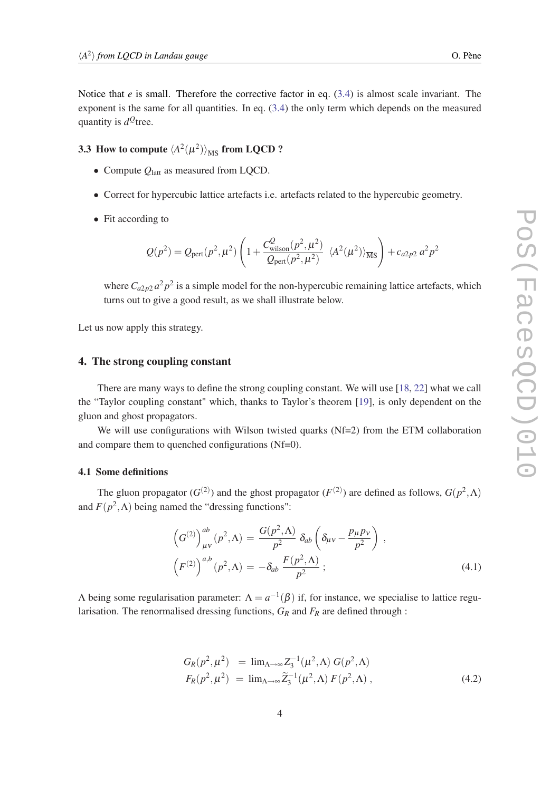Notice that *e* is small. Therefore the corrective factor in eq. ([3.4](#page-2-0)) is almost scale invariant. The exponent is the same for all quantities. In eq. [\(3.4\)](#page-2-0) the only term which depends on the measured quantity is *d <sup>Q</sup>*tree.

# 3.3 How to compute  $\langle A^2(\mu^2)\rangle_{\overline{\rm MS}}$  from LQCD ?

- Compute  $Q<sub>latt</sub>$  as measured from LQCD.
- Correct for hypercubic lattice artefacts i.e. artefacts related to the hypercubic geometry.
- Fit according to

$$
Q(p^2) = Q_{\text{pert}}(p^2, \mu^2) \left( 1 + \frac{C_{\text{Wilson}}^Q(p^2, \mu^2)}{Q_{\text{pert}}(p^2, \mu^2)} \langle A^2(\mu^2) \rangle_{\overline{\text{MS}}} \right) + c_{a2p2} a^2 p^2
$$

where  $C_{a2p2}a^2p^2$  is a simple model for the non-hypercubic remaining lattice artefacts, which turns out to give a good result, as we shall illustrate below.

Let us now apply this strategy.

### 4. The strong coupling constant

There are many ways to define the strong coupling constant. We will use [\[18](#page-9-0), [22](#page-9-0)] what we call the "Taylor coupling constant" which, thanks to Taylor's theorem [\[19](#page-9-0)], is only dependent on the gluon and ghost propagators.

We will use configurations with Wilson twisted quarks (Nf=2) from the ETM collaboration and compare them to quenched configurations (Nf=0).

#### 4.1 Some definitions

The gluon propagator  $(G^{(2)})$  and the ghost propagator  $(F^{(2)})$  are defined as follows,  $G(p^2, \Lambda)$ and  $F(p^2, \Lambda)$  being named the "dressing functions":

$$
\left(G^{(2)}\right)^{ab}_{\mu\nu}(p^2,\Lambda) = \frac{G(p^2,\Lambda)}{p^2} \delta_{ab} \left(\delta_{\mu\nu} - \frac{p_\mu p_\nu}{p^2}\right) ,
$$
  

$$
\left(F^{(2)}\right)^{a,b}(p^2,\Lambda) = -\delta_{ab} \frac{F(p^2,\Lambda)}{p^2} ;
$$
 (4.1)

 $Λ$  being some regularisation parameter:  $Λ = a^{-1}(β)$  if, for instance, we specialise to lattice regularisation. The renormalised dressing functions, *G<sup>R</sup>* and *F<sup>R</sup>* are defined through :

$$
G_R(p^2, \mu^2) = \lim_{\Lambda \to \infty} Z_3^{-1}(\mu^2, \Lambda) G(p^2, \Lambda)
$$
  
\n
$$
F_R(p^2, \mu^2) = \lim_{\Lambda \to \infty} \widetilde{Z}_3^{-1}(\mu^2, \Lambda) F(p^2, \Lambda),
$$
\n(4.2)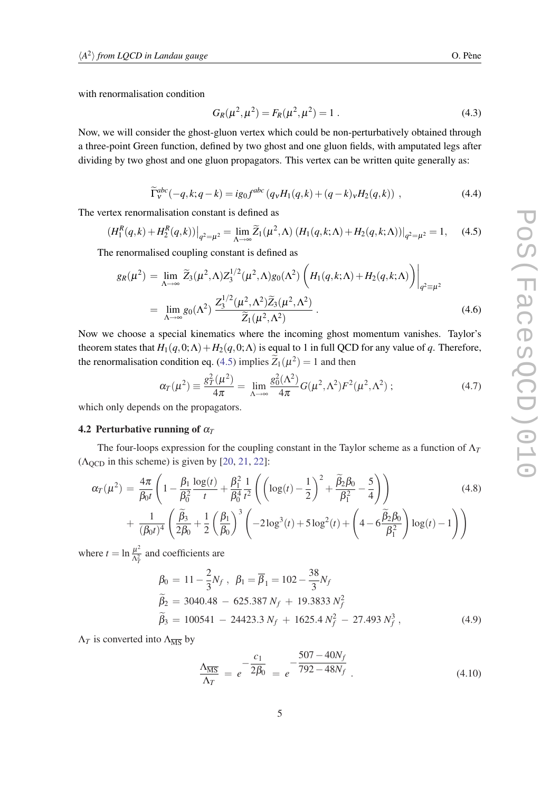<span id="page-4-0"></span>with renormalisation condition

$$
G_R(\mu^2, \mu^2) = F_R(\mu^2, \mu^2) = 1.
$$
\n(4.3)

Now, we will consider the ghost-gluon vertex which could be non-perturbatively obtained through a three-point Green function, defined by two ghost and one gluon fields, with amputated legs after dividing by two ghost and one gluon propagators. This vertex can be written quite generally as:

$$
\widetilde{\Gamma}_{V}^{abc}(-q,k;q-k) = ig_0 f^{abc} (q_V H_1(q,k) + (q-k)_V H_2(q,k)) , \qquad (4.4)
$$

The vertex renormalisation constant is defined as

$$
(H_1^R(q,k) + H_2^R(q,k))\big|_{q^2 = \mu^2} = \lim_{\Lambda \to \infty} \widetilde{Z}_1(\mu^2, \Lambda) (H_1(q,k;\Lambda) + H_2(q,k;\Lambda))\big|_{q^2 = \mu^2} = 1, \quad (4.5)
$$

The renormalised coupling constant is defined as

$$
g_R(\mu^2) = \lim_{\Lambda \to \infty} \widetilde{Z}_3(\mu^2, \Lambda) Z_3^{1/2}(\mu^2, \Lambda) g_0(\Lambda^2) \left( H_1(q, k; \Lambda) + H_2(q, k; \Lambda) \right) \Big|_{q^2 = \mu^2}
$$
  
= 
$$
\lim_{\Lambda \to \infty} g_0(\Lambda^2) \frac{Z_3^{1/2}(\mu^2, \Lambda^2) \widetilde{Z}_3(\mu^2, \Lambda^2)}{\widetilde{Z}_1(\mu^2, \Lambda^2)}.
$$
 (4.6)

Now we choose a special kinematics where the incoming ghost momentum vanishes. Taylor's theorem states that  $H_1(q,0;\Lambda) + H_2(q,0;\Lambda)$  is equal to 1 in full QCD for any value of *q*. Therefore, the renormalisation condition eq. (4.5) implies  $\widetilde{Z}_1(\mu^2) = 1$  and then

$$
\alpha_T(\mu^2) \equiv \frac{g_T^2(\mu^2)}{4\pi} = \lim_{\Lambda \to \infty} \frac{g_0^2(\Lambda^2)}{4\pi} G(\mu^2, \Lambda^2) F^2(\mu^2, \Lambda^2) ; \qquad (4.7)
$$

which only depends on the propagators.

### 4.2 Perturbative running of α*<sup>T</sup>*

The four-loops expression for the coupling constant in the Taylor scheme as a function of  $\Lambda_T$  $(\Lambda_{\text{OCD}})$  in this scheme) is given by [\[20,](#page-9-0) [21](#page-9-0), [22\]](#page-9-0):

$$
\alpha_T(\mu^2) = \frac{4\pi}{\beta_0 t} \left( 1 - \frac{\beta_1}{\beta_0^2} \frac{\log(t)}{t} + \frac{\beta_1^2}{\beta_0^4} \frac{1}{t^2} \left( \left( \log(t) - \frac{1}{2} \right)^2 + \frac{\tilde{\beta}_2 \beta_0}{\beta_1^2} - \frac{5}{4} \right) \right) + \frac{1}{(\beta_0 t)^4} \left( \frac{\tilde{\beta}_3}{2\beta_0} + \frac{1}{2} \left( \frac{\beta_1}{\beta_0} \right)^3 \left( -2 \log^3(t) + 5 \log^2(t) + \left( 4 - 6 \frac{\tilde{\beta}_2 \beta_0}{\beta_1^2} \right) \log(t) - 1 \right) \right)
$$
\n(4.8)

where  $t = \ln \frac{\mu^2}{\Delta^2}$  $\frac{\mu^2}{\Lambda_T^2}$  and coefficients are

$$
\beta_0 = 11 - \frac{2}{3}N_f, \ \beta_1 = \overline{\beta}_1 = 102 - \frac{38}{3}N_f
$$
  
\n
$$
\widetilde{\beta}_2 = 3040.48 - 625.387 N_f + 19.3833 N_f^2
$$
  
\n
$$
\widetilde{\beta}_3 = 100541 - 24423.3 N_f + 1625.4 N_f^2 - 27.493 N_f^3,
$$
\n(4.9)

 $\Lambda_T$  is converted into  $\Lambda_{\overline{\text{MS}}}$  by

$$
\frac{\Lambda_{\overline{\rm MS}}}{\Lambda_T} = e^{-\frac{C_1}{2\beta_0}} = e^{-\frac{507 - 40N_f}{792 - 48N_f}}.
$$
\n(4.10)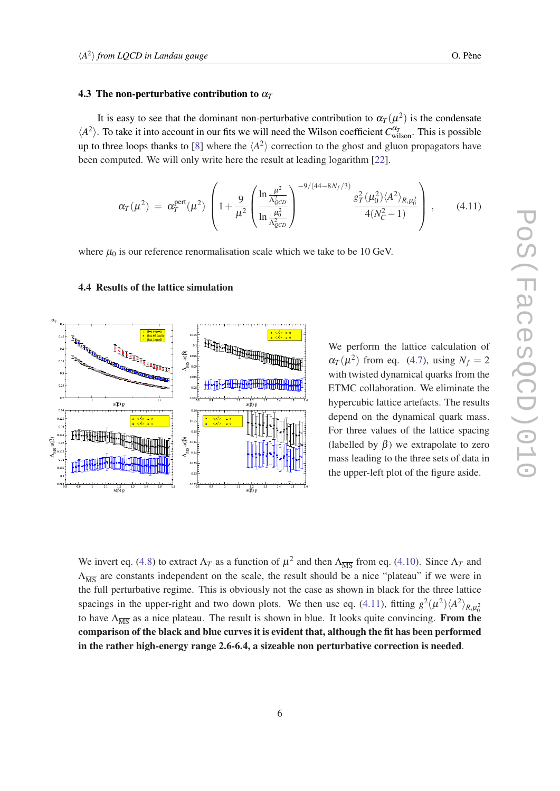#### 4.3 The non-perturbative contribution to  $\alpha_T$

It is easy to see that the dominant non-perturbative contribution to  $\alpha_T(\mu^2)$  is the condensate  $\langle A^2 \rangle$ . To take it into account in our fits we will need the Wilson coefficient *C*<sup> $\alpha_T$ </sup><sub>wilson</sub>. This is possible up to three loops thanks to [\[8\]](#page-8-0) where the  $\langle A^2 \rangle$  correction to the ghost and gluon propagators have been computed. We will only write here the result at leading logarithm [\[22](#page-9-0)].

$$
\alpha_T(\mu^2) = \alpha_T^{\text{pert}}(\mu^2) \left( 1 + \frac{9}{\mu^2} \left( \frac{\ln \frac{\mu^2}{\Lambda_{QCD}^2}}{\ln \frac{\mu_0^2}{\Lambda_{QCD}^2}} \right)^{-9/(44-8N_f/3)} \frac{g_T^2(\mu_0^2) \langle A^2 \rangle_{R,\mu_0^2}}{4(N_C^2-1)} \right), \quad (4.11)
$$

where  $\mu_0$  is our reference renormalisation scale which we take to be 10 GeV.



#### 4.4 Results of the lattice simulation

We perform the lattice calculation of  $\alpha_T(\mu^2)$  from eq. [\(4.7\)](#page-4-0), using  $N_f = 2$ with twisted dynamical quarks from the ETMC collaboration. We eliminate the hypercubic lattice artefacts. The results depend on the dynamical quark mass. For three values of the lattice spacing (labelled by  $\beta$ ) we extrapolate to zero mass leading to the three sets of data in the upper-left plot of the figure aside.

We invert eq. [\(4.8\)](#page-4-0) to extract  $\Lambda_T$  as a function of  $\mu^2$  and then  $\Lambda_{\overline{MS}}$  from eq. ([4.10\)](#page-4-0). Since  $\Lambda_T$  and  $\Lambda_{\overline{MS}}$  are constants independent on the scale, the result should be a nice "plateau" if we were in the full perturbative regime. This is obviously not the case as shown in black for the three lattice spacings in the upper-right and two down plots. We then use eq. (4.11), fitting  $g^2(\mu^2)\langle A^2\rangle_{R,\mu_0^2}$ to have  $\Lambda_{\overline{MS}}$  as a nice plateau. The result is shown in blue. It looks quite convincing. From the comparison of the black and blue curves it is evident that, although the fit has been performed in the rather high-energy range 2.6-6.4, a sizeable non perturbative correction is needed.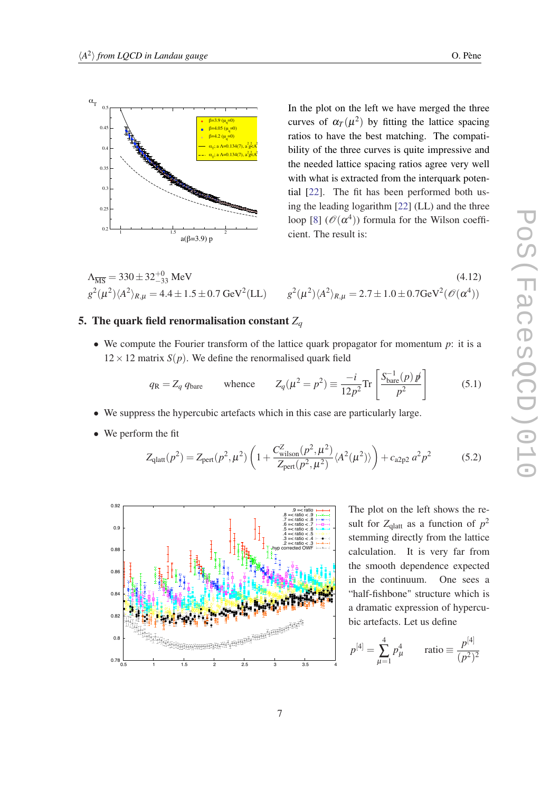<span id="page-6-0"></span>

In the plot on the left we have merged the three curves of  $\alpha_T(\mu^2)$  by fitting the lattice spacing ratios to have the best matching. The compatibility of the three curves is quite impressive and the needed lattice spacing ratios agree very well with what is extracted from the interquark potential [\[22](#page-9-0)]. The fit has been performed both using the leading logarithm [\[22](#page-9-0)] (LL) and the three loop [\[8](#page-8-0)]  $(\mathscr{O}(\alpha^4))$  formula for the Wilson coefficient. The result is:

$$
\Lambda_{\overline{\text{MS}}} = 330 \pm 32^{+0}_{-33} \text{ MeV}
$$
\n
$$
g^{2}(\mu^{2}) \langle A^{2} \rangle_{R,\mu} = 4.4 \pm 1.5 \pm 0.7 \text{ GeV}^{2}(\text{LL})
$$
\n
$$
g^{2}(\mu^{2}) \langle A^{2} \rangle_{R,\mu} = 2.7 \pm 1.0 \pm 0.7 \text{ GeV}^{2}(\mathcal{O}(\alpha^{4}))
$$
\n(4.12)

# 5. The quark field renormalisation constant  $Z_q$

• We compute the Fourier transform of the lattice quark propagator for momentum *p*: it is a  $12 \times 12$  matrix *S*(*p*). We define the renormalised quark field

$$
q_{\rm R} = Z_q q_{\rm bare} \qquad \text{whence} \qquad Z_q(\mu^2 = p^2) \equiv \frac{-i}{12p^2} \text{Tr} \left[ \frac{S_{\rm bare}^{-1}(p) p}{p^2} \right] \tag{5.1}
$$

- We suppress the hypercubic artefacts which in this case are particularly large.
- We perform the fit

$$
Z_{\text{glatt}}(p^2) = Z_{\text{pert}}(p^2, \mu^2) \left( 1 + \frac{C_{\text{wilson}}^Z(p^2, \mu^2)}{Z_{\text{pert}}(p^2, \mu^2)} \langle A^2(\mu^2) \rangle \right) + c_{\text{a2p2}} a^2 p^2 \tag{5.2}
$$



The plot on the left shows the result for  $Z_{\text{glatt}}$  as a function of  $p^2$ stemming directly from the lattice calculation. It is very far from the smooth dependence expected in the continuum. One sees a "half-fishbone" structure which is a dramatic expression of hypercubic artefacts. Let us define

$$
p^{[4]} = \sum_{\mu=1}^{4} p_{\mu}^{4}
$$
 ratio  $\equiv \frac{p^{[4]}}{(p^{2})^{2}}$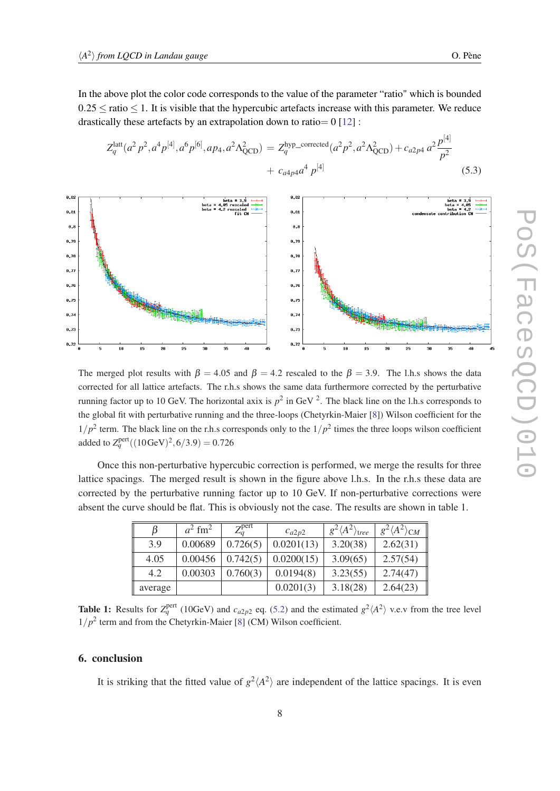In the above plot the color code corresponds to the value of the parameter "ratio" which is bounded  $0.25 \le$  ratio  $\le$  1. It is visible that the hypercubic artefacts increase with this parameter. We reduce drastically these artefacts by an extrapolation down to ratio =  $0$  [[12\]](#page-9-0):

$$
Z_q^{\text{latt}}(a^2 p^2, a^4 p^{[4]}, a^6 p^{[6]}, ap_4, a^2 \Lambda_{QCD}^2) = Z_q^{\text{hyp-corrected}}(a^2 p^2, a^2 \Lambda_{QCD}^2) + c_{a2p4} a^2 \frac{p^{[4]}}{p^2} + c_{a4p4} a^4 p^{[4]} \tag{5.3}
$$



The merged plot results with  $\beta = 4.05$  and  $\beta = 4.2$  rescaled to the  $\beta = 3.9$ . The l.h.s shows the data corrected for all lattice artefacts. The r.h.s shows the same data furthermore corrected by the perturbative running factor up to 10 GeV. The horizontal axix is  $p^2$  in GeV  $^2$ . The black line on the l.h.s corresponds to the global fit with perturbative running and the three-loops (Chetyrkin-Maier [\[8\]](#page-8-0)) Wilson coefficient for the  $1/p^2$  term. The black line on the r.h.s corresponds only to the  $1/p^2$  times the three loops wilson coefficient added to  $Z_q^{\text{pert}}((10 {\rm GeV})^2, 6/3.9) = 0.726$ 

Once this non-perturbative hypercubic correction is performed, we merge the results for three lattice spacings. The merged result is shown in the figure above l.h.s. In the r.h.s these data are corrected by the perturbative running factor up to 10 GeV. If non-perturbative corrections were absent the curve should be flat. This is obviously not the case. The results are shown in table 1.

|         | $a^2$ fm <sup>2</sup> | $Z_a^{\text{pert}}$ | $c_{a2p2}$ | $g^2\langle A^2\rangle$ tree | $g^2\langle A^2\rangle_{CM}$ |
|---------|-----------------------|---------------------|------------|------------------------------|------------------------------|
| 3.9     | 0.00689               | 0.726(5)            | 0.0201(13) | 3.20(38)                     | 2.62(31)                     |
| 4.05    | 0.00456               | 0.742(5)            | 0.0200(15) | 3.09(65)                     | 2.57(54)                     |
| 4.2     | 0.00303               | 0.760(3)            | 0.0194(8)  | 3.23(55)                     | 2.74(47)                     |
| average |                       |                     | 0.0201(3)  | 3.18(28)                     | 2.64(23)                     |

**Table 1:** Results for  $Z_q^{\text{pert}}$  (10GeV) and  $c_{a2p2}$  eq. [\(5.2\)](#page-6-0) and the estimated  $g^2\langle A^2 \rangle$  v.e.v from the tree level  $1/p^2$  term and from the Chetyrkin-Maier [[8\]](#page-8-0) (CM) Wilson coefficient.

# 6. conclusion

It is striking that the fitted value of  $g^2 \langle A^2 \rangle$  are independent of the lattice spacings. It is even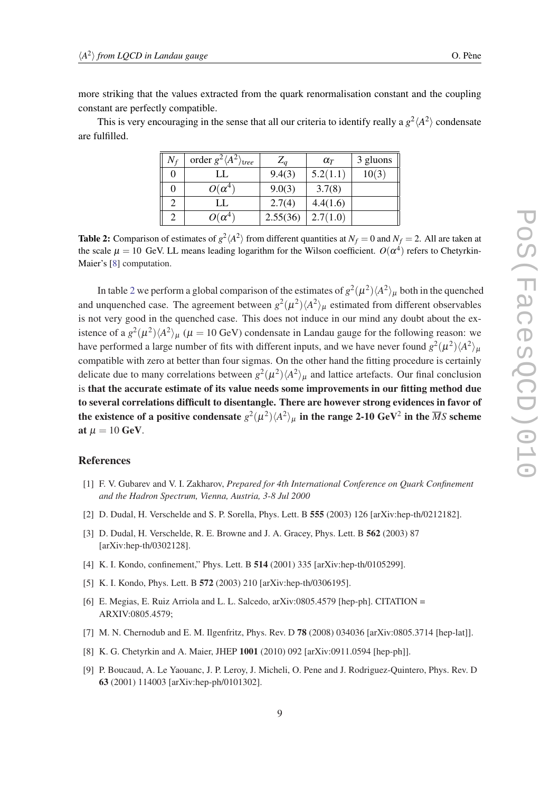<span id="page-8-0"></span>more striking that the values extracted from the quark renormalisation constant and the coupling constant are perfectly compatible.

This is very encouraging in the sense that all our criteria to identify really a  $g^2 \langle A^2 \rangle$  condensate are fulfilled.

| $N_f$ | order $g^2 \langle A^2 \rangle_{tree}$ | $Z_a$    | $\alpha_T$ | 3 gluons |
|-------|----------------------------------------|----------|------------|----------|
|       | LL                                     | 9.4(3)   | 5.2(1.1)   | 10(3)    |
|       | $O(\alpha^4)$                          | 9.0(3)   | 3.7(8)     |          |
|       | LL                                     | 2.7(4)   | 4.4(1.6)   |          |
|       | $O(\alpha^4)$                          | 2.55(36) | 2.7(1.0)   |          |

**Table 2:** Comparison of estimates of  $g^2\langle A^2 \rangle$  from different quantities at  $N_f = 0$  and  $N_f = 2$ . All are taken at the scale  $\mu = 10$  GeV. LL means leading logarithm for the Wilson coefficient.  $O(\alpha^4)$  refers to Chetyrkin-Maier's [8] computation.

In table 2 we perform a global comparison of the estimates of  $g^2(\mu^2)\langle A^2\rangle_\mu$  both in the quenched and unquenched case. The agreement between  $g^2(\mu^2) \langle A^2 \rangle_{\mu}$  estimated from different observables is not very good in the quenched case. This does not induce in our mind any doubt about the existence of a  $g^2(\mu^2)\langle A^2\rangle_\mu$  ( $\mu = 10$  GeV) condensate in Landau gauge for the following reason: we have performed a large number of fits with different inputs, and we have never found  $g^2(\mu^2)\langle A^2 \rangle_\mu$ compatible with zero at better than four sigmas. On the other hand the fitting procedure is certainly delicate due to many correlations between  $g^2(\mu^2) \langle A^2 \rangle_{\mu}$  and lattice artefacts. Our final conclusion is that the accurate estimate of its value needs some improvements in our fitting method due to several correlations difficult to disentangle. There are however strong evidences in favor of the existence of a positive condensate  $g^2(\mu^2)\langle A^2\rangle_\mu$  in the range 2-10 GeV<sup>2</sup> in the  $\overline{M}S$  scheme at  $\mu = 10$  GeV.

# References

- [1] F. V. Gubarev and V. I. Zakharov, *Prepared for 4th International Conference on Quark Confinement and the Hadron Spectrum, Vienna, Austria, 3-8 Jul 2000*
- [2] D. Dudal, H. Verschelde and S. P. Sorella, Phys. Lett. B 555 (2003) 126 [arXiv:hep-th/0212182].
- [3] D. Dudal, H. Verschelde, R. E. Browne and J. A. Gracey, Phys. Lett. B 562 (2003) 87 [arXiv:hep-th/0302128].
- [4] K. I. Kondo, confinement," Phys. Lett. B 514 (2001) 335 [arXiv:hep-th/0105299].
- [5] K. I. Kondo, Phys. Lett. B 572 (2003) 210 [arXiv:hep-th/0306195].
- [6] E. Megias, E. Ruiz Arriola and L. L. Salcedo, arXiv:0805.4579 [hep-ph]. CITATION = ARXIV:0805.4579;
- [7] M. N. Chernodub and E. M. Ilgenfritz, Phys. Rev. D **78** (2008) 034036 [arXiv:0805.3714 [hep-lat]].
- [8] K. G. Chetyrkin and A. Maier, JHEP 1001 (2010) 092 [arXiv:0911.0594 [hep-ph]].
- [9] P. Boucaud, A. Le Yaouanc, J. P. Leroy, J. Micheli, O. Pene and J. Rodriguez-Quintero, Phys. Rev. D 63 (2001) 114003 [arXiv:hep-ph/0101302].